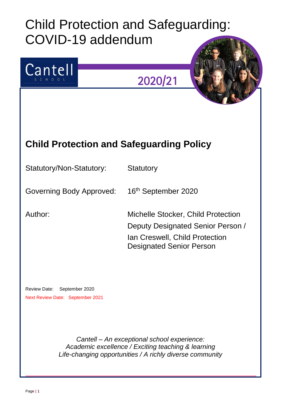# Child Protection and Safeguarding: COVID-19 addendum



*Cantell – An exceptional school experience: Academic excellence / Exciting teaching & learning Life-changing opportunities / A richly diverse community*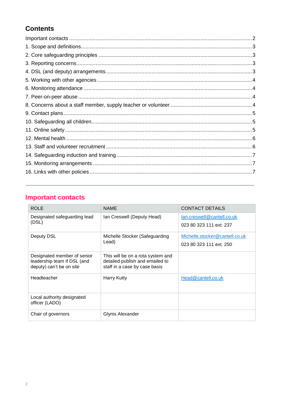## **Contents**

# <span id="page-1-0"></span>**Important contacts**

| <b>ROLE</b>                                                                            | <b>NAME</b>                                                                                           | <b>CONTACT DETAILS</b>         |
|----------------------------------------------------------------------------------------|-------------------------------------------------------------------------------------------------------|--------------------------------|
| Designated safeguarding lead<br>(DSL)                                                  | Ian Creswell (Deputy Head)                                                                            | lan.creswell@cantell.co.uk     |
|                                                                                        |                                                                                                       | 023 80 323 111 ext. 237        |
| Deputy DSL                                                                             | Michelle Stocker (Safeguarding<br>Lead)                                                               | Michelle.stocker@cantell.co.uk |
|                                                                                        |                                                                                                       | 023 80 323 111 ext. 250        |
| Designated member of senior<br>leadership team if DSL (and<br>deputy) can't be on site | This will be on a rota system and<br>detailed publish and emailed to<br>staff in a case by case basis |                                |
|                                                                                        |                                                                                                       |                                |
| Headteacher                                                                            | <b>Harry Kutty</b>                                                                                    | Head@cantell.co.uk             |
|                                                                                        |                                                                                                       |                                |
| Local authority designated                                                             |                                                                                                       |                                |
| officer (LADO)                                                                         |                                                                                                       |                                |
| Chair of governors                                                                     | Glynis Alexander                                                                                      |                                |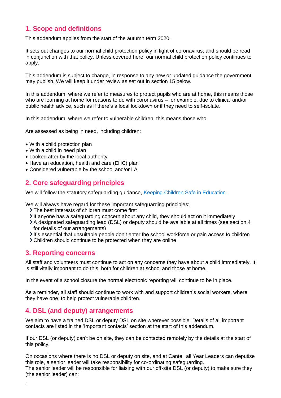## <span id="page-2-0"></span>**1. Scope and definitions**

This addendum applies from the start of the autumn term 2020.

It sets out changes to our normal child protection policy in light of coronavirus, and should be read in conjunction with that policy. Unless covered here, our normal child protection policy continues to apply.

This addendum is subject to change, in response to any new or updated guidance the government may publish. We will keep it under review as set out in section 15 below.

In this addendum, where we refer to measures to protect pupils who are at home, this means those who are learning at home for reasons to do with coronavirus – for example, due to clinical and/or public health advice, such as if there's a local lockdown or if they need to self-isolate.

In this addendum, where we refer to vulnerable children, this means those who:

Are assessed as being in need, including children:

- With a child protection plan
- With a child in need plan
- Looked after by the local authority
- Have an education, health and care (EHC) plan
- Considered vulnerable by the school and/or LA

## <span id="page-2-1"></span>**2. Core safeguarding principles**

We will follow the statutory safeguarding guidance, [Keeping Children Safe in Education.](https://www.gov.uk/government/publications/keeping-children-safe-in-education--2)

We will always have regard for these important safeguarding principles:

- The best interests of children must come first
- $\blacktriangleright$  If anyone has a safeguarding concern about any child, they should act on it immediately
- A designated safeguarding lead (DSL) or deputy should be available at all times (see section 4 for details of our arrangements)
- It's essential that unsuitable people don't enter the school workforce or gain access to children
- Children should continue to be protected when they are online

## <span id="page-2-2"></span>**3. Reporting concerns**

All staff and volunteers must continue to act on any concerns they have about a child immediately. It is still vitally important to do this, both for children at school and those at home.

In the event of a school closure the normal electronic reporting will continue to be in place.

As a reminder, all staff should continue to work with and support children's social workers, where they have one, to help protect vulnerable children.

## <span id="page-2-3"></span>**4. DSL (and deputy) arrangements**

We aim to have a trained DSL or deputy DSL on site wherever possible. Details of all important contacts are listed in the 'Important contacts' section at the start of this addendum.

If our DSL (or deputy) can't be on site, they can be contacted remotely by the details at the start of this policy.

On occasions where there is no DSL or deputy on site, and at Cantell all Year Leaders can deputise this role, a senior leader will take responsibility for co-ordinating safeguarding.

The senior leader will be responsible for liaising with our off-site DSL (or deputy) to make sure they (the senior leader) can: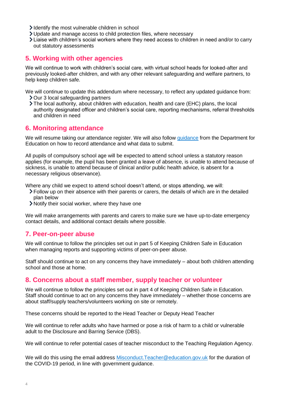- Identify the most vulnerable children in school
- Update and manage access to child protection files, where necessary
- Liaise with children's social workers where they need access to children in need and/or to carry out statutory assessments

## <span id="page-3-0"></span>**5. Working with other agencies**

We will continue to work with children's social care, with virtual school heads for looked-after and previously looked-after children, and with any other relevant safeguarding and welfare partners, to help keep children safe.

We will continue to update this addendum where necessary, to reflect any updated guidance from: **>** Our 3 local safeguarding partners

The local authority, about children with education, health and care (EHC) plans, the local authority designated officer and children's social care, reporting mechanisms, referral thresholds and children in need

## <span id="page-3-1"></span>**6. Monitoring attendance**

We will resume taking our attendance register. We will also follow quidance from the Department for Education on how to record attendance and what data to submit.

All pupils of compulsory school age will be expected to attend school unless a statutory reason applies (for example, the pupil has been granted a leave of absence, is unable to attend because of sickness, is unable to attend because of clinical and/or public health advice, is absent for a necessary religious observance).

Where any child we expect to attend school doesn't attend, or stops attending, we will:

- Follow up on their absence with their parents or carers, the details of which are in the detailed plan below
- Notify their social worker, where they have one

We will make arrangements with parents and carers to make sure we have up-to-date emergency contact details, and additional contact details where possible.

## <span id="page-3-2"></span>**7. Peer-on-peer abuse**

We will continue to follow the principles set out in part 5 of Keeping Children Safe in Education when managing reports and supporting victims of peer-on-peer abuse.

Staff should continue to act on any concerns they have immediately – about both children attending school and those at home.

## <span id="page-3-3"></span>**8. Concerns about a staff member, supply teacher or volunteer**

We will continue to follow the principles set out in part 4 of Keeping Children Safe in Education. Staff should continue to act on any concerns they have immediately – whether those concerns are about staff/supply teachers/volunteers working on site or remotely.

These concerns should be reported to the Head Teacher or Deputy Head Teacher

We will continue to refer adults who have harmed or pose a risk of harm to a child or vulnerable adult to the Disclosure and Barring Service (DBS).

We will continue to refer potential cases of teacher misconduct to the Teaching Regulation Agency.

We will do this using the email address [Misconduct.Teacher@education.gov.uk](mailto:Misconduct.Teacher@education.gov.uk) for the duration of the COVID-19 period, in line with government guidance.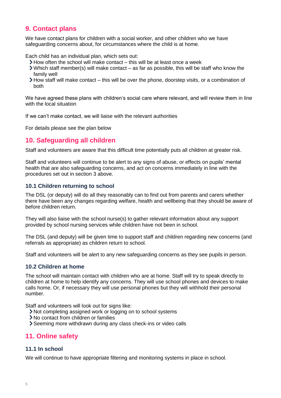## <span id="page-4-0"></span>**9. Contact plans**

We have contact plans for children with a social worker, and other children who we have safeguarding concerns about, for circumstances where the child is at home.

Each child has an individual plan, which sets out:

- $\blacktriangleright$  How often the school will make contact this will be at least once a week
- $\triangleright$  Which staff member(s) will make contact as far as possible, this will be staff who know the family well
- How staff will make contact this will be over the phone, doorstep visits, or a combination of both

We have agreed these plans with children's social care where relevant, and will review them in line with the local situation

If we can't make contact, we will liaise with the relevant authorities

<span id="page-4-1"></span>For details please see the plan below

## **10. Safeguarding all children**

Staff and volunteers are aware that this difficult time potentially puts all children at greater risk.

Staff and volunteers will continue to be alert to any signs of abuse, or effects on pupils' mental health that are also safeguarding concerns, and act on concerns immediately in line with the procedures set out in section 3 above.

#### **10.1 Children returning to school**

The DSL (or deputy) will do all they reasonably can to find out from parents and carers whether there have been any changes regarding welfare, health and wellbeing that they should be aware of before children return.

They will also liaise with the school nurse(s) to gather relevant information about any support provided by school nursing services while children have not been in school.

The DSL (and deputy) will be given time to support staff and children regarding new concerns (and referrals as appropriate) as children return to school.

Staff and volunteers will be alert to any new safeguarding concerns as they see pupils in person.

#### **10.2 Children at home**

The school will maintain contact with children who are at home. Staff will try to speak directly to children at home to help identify any concerns. They will use school phones and devices to make calls home. Or, if necessary they will use personal phones but they will withhold their personal number.

Staff and volunteers will look out for signs like:

- Not completing assigned work or logging on to school systems
- No contact from children or families
- Seeming more withdrawn during any class check-ins or video calls

## <span id="page-4-2"></span>**11. Online safety**

#### **11.1 In school**

We will continue to have appropriate filtering and monitoring systems in place in school.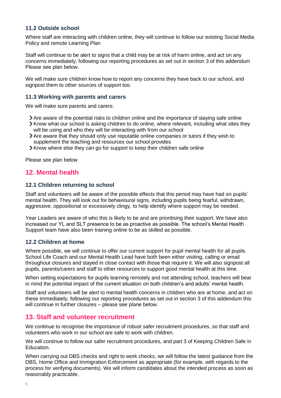#### **11.2 Outside school**

Where staff are interacting with children online, they will continue to follow our existing Social Media Policy and remote Learning Plan

Staff will continue to be alert to signs that a child may be at risk of harm online, and act on any concerns immediately, following our reporting procedures as set out in section 3 of this addendum Please see plan below.

We will make sure children know how to report any concerns they have back to our school, and signpost them to other sources of support too.

#### **11.3 Working with parents and carers**

We will make sure parents and carers:

- Are aware of the potential risks to children online and the importance of staying safe online
- $\blacktriangleright$  Know what our school is asking children to do online, where relevant, including what sites they will be using and who they will be interacting with from our school
- Are aware that they should only use reputable online companies or tutors if they wish to supplement the teaching and resources our school provides
- Know where else they can go for support to keep their children safe online

<span id="page-5-0"></span>Please see plan below

## **12. Mental health**

#### **12.1 Children returning to school**

Staff and volunteers will be aware of the possible effects that this period may have had on pupils' mental health. They will look out for behavioural signs, including pupils being fearful, withdrawn, aggressive, oppositional or excessively clingy, to help identify where support may be needed.

Year Leaders are aware of who this is likely to be and are prioritising their support. We have also increased our YL and SLT presence to be as proactive as possible. The school's Mental Health Support team have also been training online to be as skilled as possible.

#### **12.2 Children at home**

Where possible, we will continue to offer our current support for pupil mental health for all pupils. School Life Coach and our Mental Health Lead have both been either visiting, calling or email throughout closures and stayed in close contact with those that require it. We will also signpost all pupils, parents/carers and staff to other resources to support good mental health at this time.

When setting expectations for pupils learning remotely and not attending school, teachers will bear in mind the potential impact of the current situation on both children's and adults' mental health.

Staff and volunteers will be alert to mental health concerns in children who are at home, and act on these immediately, following our reporting procedures as set out in section 3 of this addendum this will continue in further closures – please see plane below.

## <span id="page-5-1"></span>**13. Staff and volunteer recruitment**

We continue to recognise the importance of robust safer recruitment procedures, so that staff and volunteers who work in our school are safe to work with children.

We will continue to follow our safer recruitment procedures, and part 3 of Keeping Children Safe in Education.

When carrying out DBS checks and right to work checks, we will follow the latest guidance from the DBS, Home Office and Immigration Enforcement as appropriate (for example, with regards to the process for verifying documents). We will inform candidates about the intended process as soon as reasonably practicable.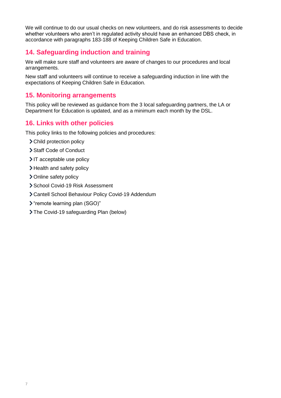We will continue to do our usual checks on new volunteers, and do risk assessments to decide whether volunteers who aren't in regulated activity should have an enhanced DBS check, in accordance with paragraphs 183-188 of Keeping Children Safe in Education.

## <span id="page-6-0"></span>**14. Safeguarding induction and training**

We will make sure staff and volunteers are aware of changes to our procedures and local arrangements.

New staff and volunteers will continue to receive a safeguarding induction in line with the expectations of Keeping Children Safe in Education.

## <span id="page-6-1"></span>**15. Monitoring arrangements**

This policy will be reviewed as guidance from the 3 local safeguarding partners, the LA or Department for Education is updated, and as a minimum each month by the DSL.

## <span id="page-6-2"></span>**16. Links with other policies**

This policy links to the following policies and procedures:

- > Child protection policy
- > Staff Code of Conduct
- $\triangleright$  IT acceptable use policy
- > Health and safety policy
- > Online safety policy
- School Covid-19 Risk Assessment
- Cantell School Behaviour Policy Covid-19 Addendum
- "remote learning plan (SGO)"
- The Covid-19 safeguarding Plan (below)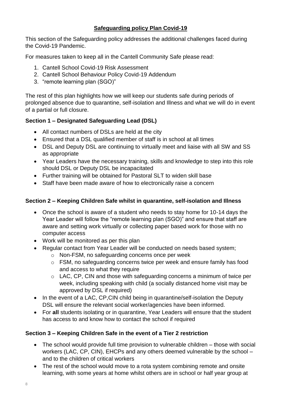## **Safeguarding policy Plan Covid-19**

This section of the Safeguarding policy addresses the additional challenges faced during the Covid-19 Pandemic.

For measures taken to keep all in the Cantell Community Safe please read:

- 1. Cantell School Covid-19 Risk Assessment
- 2. Cantell School Behaviour Policy Covid-19 Addendum
- 3. "remote learning plan (SGO)"

The rest of this plan highlights how we will keep our students safe during periods of prolonged absence due to quarantine, self-isolation and Illness and what we will do in event of a partial or full closure.

## **Section 1 – Designated Safeguarding Lead (DSL)**

- All contact numbers of DSLs are held at the city
- Ensured that a DSL qualified member of staff is in school at all times
- DSL and Deputy DSL are continuing to virtually meet and liaise with all SW and SS as appropriate
- Year Leaders have the necessary training, skills and knowledge to step into this role should DSL or Deputy DSL be incapacitated
- Further training will be obtained for Pastoral SLT to widen skill base
- Staff have been made aware of how to electronically raise a concern

## **Section 2 – Keeping Children Safe whilst in quarantine, self-isolation and Illness**

- Once the school is aware of a student who needs to stay home for 10-14 days the Year Leader will follow the "remote learning plan (SGO)" and ensure that staff are aware and setting work virtually or collecting paper based work for those with no computer access
- Work will be monitored as per this plan
- Regular contact from Year Leader will be conducted on needs based system;
	- o Non-FSM, no safeguarding concerns once per week
	- o FSM, no safeguarding concerns twice per week and ensure family has food and access to what they require
	- o LAC, CP, CIN and those with safeguarding concerns a minimum of twice per week, including speaking with child (a socially distanced home visit may be approved by DSL if required)
- In the event of a LAC, CP, CIN child being in quarantine/self-isolation the Deputy DSL will ensure the relevant social worker/agencies have been informed.
- For **all** students isolating or in quarantine, Year Leaders will ensure that the student has access to and know how to contact the school if required

## **Section 3 – Keeping Children Safe in the event of a Tier 2 restriction**

- The school would provide full time provision to vulnerable children those with social workers (LAC, CP, CIN), EHCPs and any others deemed vulnerable by the school – and to the children of critical workers
- The rest of the school would move to a rota system combining remote and onsite learning, with some years at home whilst others are in school or half year group at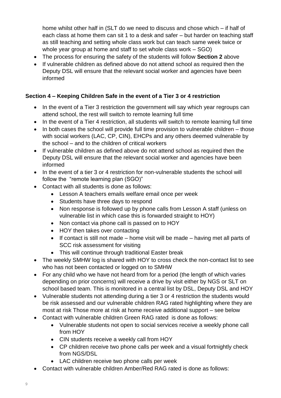home whilst other half in (SLT do we need to discuss and chose which – if half of each class at home them can sit 1 to a desk and safer – but harder on teaching staff as still teaching and setting whole class work but can teach same week twice or whole year group at home and staff to set whole class work – SGO)

- The process for ensuring the safety of the students will follow **Section 2** above
- If vulnerable children as defined above do not attend school as required then the Deputy DSL will ensure that the relevant social worker and agencies have been informed

## **Section 4 – Keeping Children Safe in the event of a Tier 3 or 4 restriction**

- In the event of a Tier 3 restriction the government will say which year regroups can attend school, the rest will switch to remote learning full time
- In the event of a Tier 4 restriction, all students will switch to remote learning full time
- $\bullet$  In both cases the school will provide full time provision to vulnerable children those with social workers (LAC, CP, CIN), EHCPs and any others deemed vulnerable by the school – and to the children of critical workers
- If vulnerable children as defined above do not attend school as required then the Deputy DSL will ensure that the relevant social worker and agencies have been informed
- In the event of a tier 3 or 4 restriction for non-vulnerable students the school will follow the "remote learning plan (SGO)"
- Contact with all students is done as follows:
	- Lesson A teachers emails welfare email once per week
	- Students have three days to respond
	- Non response is followed up by phone calls from Lesson A staff (unless on vulnerable list in which case this is forwarded straight to HOY)
	- Non contact via phone call is passed on to HOY
	- HOY then takes over contacting
	- $\bullet$  If contact is still not made home visit will be made having met all parts of SCC risk assessment for visiting
	- This will continue through traditional Easter break
- The weekly SMHW log is shared with HOY to cross check the non-contact list to see who has not been contacted or logged on to SMHW
- For any child who we have not heard from for a period (the length of which varies depending on prior concerns) will receive a drive by visit either by NGS or SLT on school based team. This is monitored in a central list by DSL, Deputy DSL and HOY
- Vulnerable students not attending during a tier 3 or 4 restriction the students would be risk assessed and our vulnerable children RAG rated highlighting where they are most at risk Those more at risk at home receive additional support – see below
- Contact with vulnerable children Green RAG rated is done as follows:
	- Vulnerable students not open to social services receive a weekly phone call from HOY
	- CIN students receive a weekly call from HOY
	- CP children receive two phone calls per week and a visual fortnightly check from NGS/DSL
	- LAC children receive two phone calls per week
- Contact with vulnerable children Amber/Red RAG rated is done as follows: